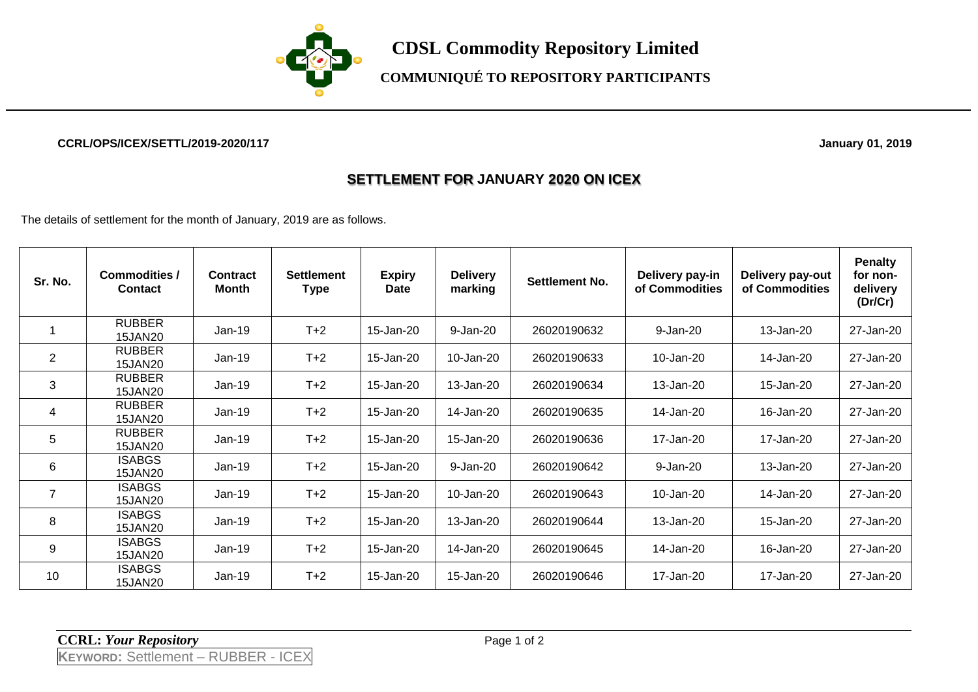

## **COMMUNIQUÉ TO REPOSITORY PARTICIPANTS**

#### **CCRL/OPS/ICEX/SETTL/2019-2020/117 January 01, 2019**

### **SETTLEMENT FOR JANUARY 2020 ON ICEX**

The details of settlement for the month of January, 2019 are as follows.

| Sr. No.        | Commodities /<br><b>Contact</b> | Contract<br>Month | <b>Settlement</b><br><b>Type</b> | <b>Expiry</b><br>Date | <b>Delivery</b><br>marking | Settlement No. | Delivery pay-in<br>of Commodities | Delivery pay-out<br>of Commodities | <b>Penalty</b><br>for non-<br>delivery<br>(Dr/Cr) |
|----------------|---------------------------------|-------------------|----------------------------------|-----------------------|----------------------------|----------------|-----------------------------------|------------------------------------|---------------------------------------------------|
|                | <b>RUBBER</b><br>15JAN20        | $Jan-19$          | $T+2$                            | 15-Jan-20             | 9-Jan-20                   | 26020190632    | 9-Jan-20                          | 13-Jan-20                          | 27-Jan-20                                         |
| $\overline{2}$ | <b>RUBBER</b><br><b>15JAN20</b> | $Jan-19$          | $T+2$                            | 15-Jan-20             | 10-Jan-20                  | 26020190633    | 10-Jan-20                         | 14-Jan-20                          | 27-Jan-20                                         |
| 3              | <b>RUBBER</b><br><b>15JAN20</b> | $Jan-19$          | $T+2$                            | 15-Jan-20             | 13-Jan-20                  | 26020190634    | 13-Jan-20                         | 15-Jan-20                          | 27-Jan-20                                         |
| 4              | <b>RUBBER</b><br>15JAN20        | $Jan-19$          | $T+2$                            | 15-Jan-20             | 14-Jan-20                  | 26020190635    | 14-Jan-20                         | 16-Jan-20                          | 27-Jan-20                                         |
| $\overline{5}$ | <b>RUBBER</b><br><b>15JAN20</b> | $Jan-19$          | $T+2$                            | 15-Jan-20             | 15-Jan-20                  | 26020190636    | 17-Jan-20                         | 17-Jan-20                          | 27-Jan-20                                         |
| 6              | <b>ISABGS</b><br><b>15JAN20</b> | $Jan-19$          | $T+2$                            | 15-Jan-20             | 9-Jan-20                   | 26020190642    | 9-Jan-20                          | 13-Jan-20                          | 27-Jan-20                                         |
| $\overline{7}$ | <b>ISABGS</b><br><b>15JAN20</b> | $Jan-19$          | $T+2$                            | 15-Jan-20             | 10-Jan-20                  | 26020190643    | 10-Jan-20                         | 14-Jan-20                          | 27-Jan-20                                         |
| 8              | <b>ISABGS</b><br><b>15JAN20</b> | $Jan-19$          | $T+2$                            | 15-Jan-20             | 13-Jan-20                  | 26020190644    | 13-Jan-20                         | 15-Jan-20                          | 27-Jan-20                                         |
| 9              | <b>ISABGS</b><br><b>15JAN20</b> | $Jan-19$          | $T+2$                            | 15-Jan-20             | 14-Jan-20                  | 26020190645    | 14-Jan-20                         | 16-Jan-20                          | 27-Jan-20                                         |
| 10             | <b>ISABGS</b><br><b>15JAN20</b> | Jan-19            | $T+2$                            | 15-Jan-20             | 15-Jan-20                  | 26020190646    | 17-Jan-20                         | 17-Jan-20                          | 27-Jan-20                                         |

**CCRL:** *Your Repository* Page 1 of 2